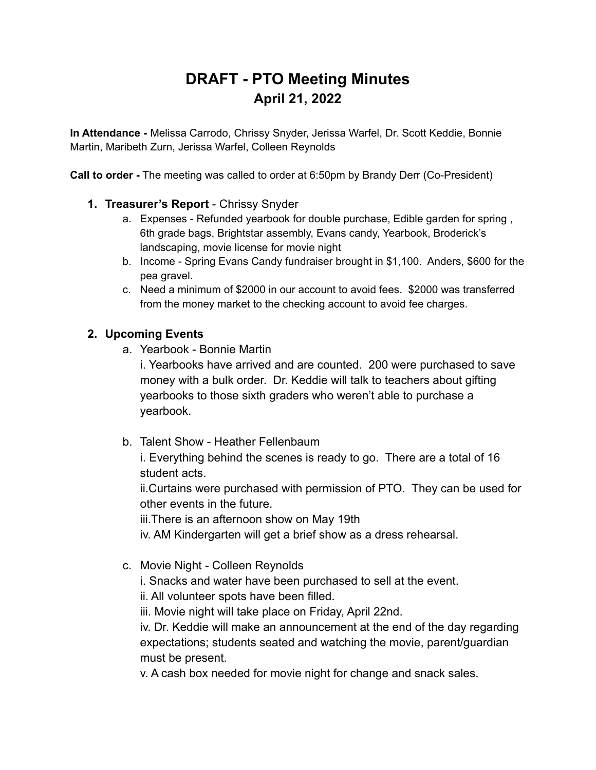# **DRAFT - PTO Meeting Minutes April 21, 2022**

**In Attendance -** Melissa Carrodo, Chrissy Snyder, Jerissa Warfel, Dr. Scott Keddie, Bonnie Martin, Maribeth Zurn, Jerissa Warfel, Colleen Reynolds

**Call to order -** The meeting was called to order at 6:50pm by Brandy Derr (Co-President)

- **1. Treasurer's Report** Chrissy Snyder
	- a. Expenses Refunded yearbook for double purchase, Edible garden for spring , 6th grade bags, Brightstar assembly, Evans candy, Yearbook, Broderick's landscaping, movie license for movie night
	- b. Income Spring Evans Candy fundraiser brought in \$1,100. Anders, \$600 for the pea gravel.
	- c. Need a minimum of \$2000 in our account to avoid fees. \$2000 was transferred from the money market to the checking account to avoid fee charges.

#### **2. Upcoming Events**

a. Yearbook - Bonnie Martin

i. Yearbooks have arrived and are counted. 200 were purchased to save money with a bulk order. Dr. Keddie will talk to teachers about gifting yearbooks to those sixth graders who weren't able to purchase a yearbook.

b. Talent Show - Heather Fellenbaum

i. Everything behind the scenes is ready to go. There are a total of 16 student acts.

ii.Curtains were purchased with permission of PTO. They can be used for other events in the future.

iii.There is an afternoon show on May 19th

iv. AM Kindergarten will get a brief show as a dress rehearsal.

c. Movie Night - Colleen Reynolds

i. Snacks and water have been purchased to sell at the event.

ii. All volunteer spots have been filled.

iii. Movie night will take place on Friday, April 22nd.

iv. Dr. Keddie will make an announcement at the end of the day regarding expectations; students seated and watching the movie, parent/guardian must be present.

v. A cash box needed for movie night for change and snack sales.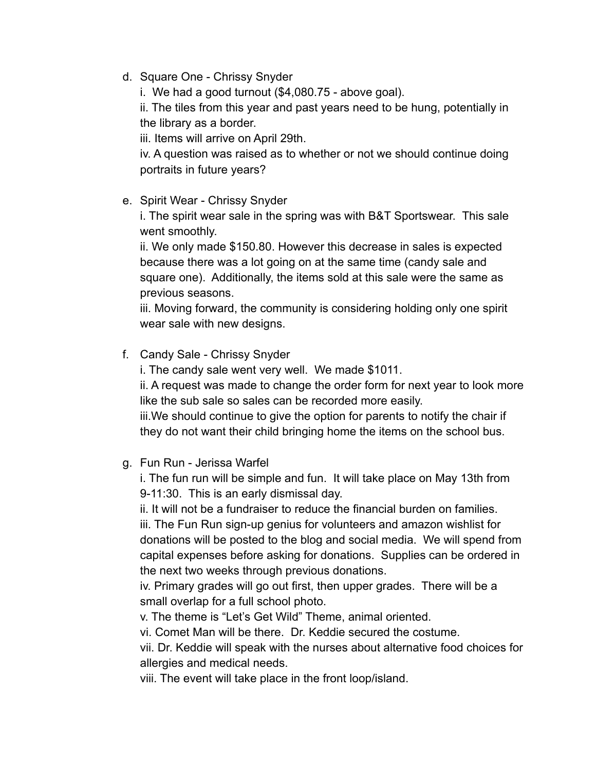d. Square One - Chrissy Snyder

i. We had a good turnout (\$4,080.75 - above goal).

ii. The tiles from this year and past years need to be hung, potentially in the library as a border.

iii. Items will arrive on April 29th.

iv. A question was raised as to whether or not we should continue doing portraits in future years?

e. Spirit Wear - Chrissy Snyder

i. The spirit wear sale in the spring was with B&T Sportswear. This sale went smoothly.

ii. We only made \$150.80. However this decrease in sales is expected because there was a lot going on at the same time (candy sale and square one). Additionally, the items sold at this sale were the same as previous seasons.

iii. Moving forward, the community is considering holding only one spirit wear sale with new designs.

f. Candy Sale - Chrissy Snyder

i. The candy sale went very well. We made \$1011.

ii. A request was made to change the order form for next year to look more like the sub sale so sales can be recorded more easily.

iii.We should continue to give the option for parents to notify the chair if they do not want their child bringing home the items on the school bus.

g. Fun Run - Jerissa Warfel

i. The fun run will be simple and fun. It will take place on May 13th from 9-11:30. This is an early dismissal day.

ii. It will not be a fundraiser to reduce the financial burden on families.

iii. The Fun Run sign-up genius for volunteers and amazon wishlist for donations will be posted to the blog and social media. We will spend from capital expenses before asking for donations. Supplies can be ordered in the next two weeks through previous donations.

iv. Primary grades will go out first, then upper grades. There will be a small overlap for a full school photo.

v. The theme is "Let's Get Wild" Theme, animal oriented.

vi. Comet Man will be there. Dr. Keddie secured the costume.

vii. Dr. Keddie will speak with the nurses about alternative food choices for allergies and medical needs.

viii. The event will take place in the front loop/island.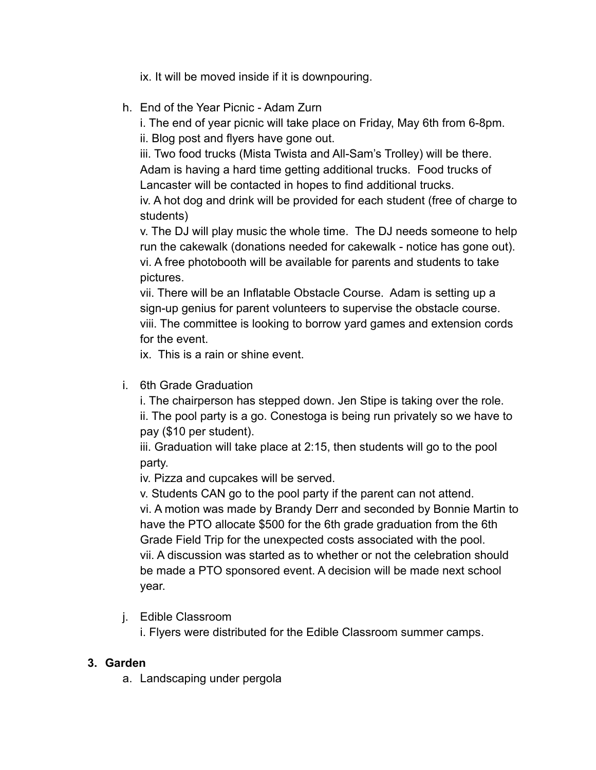ix. It will be moved inside if it is downpouring.

h. End of the Year Picnic - Adam Zurn

i. The end of year picnic will take place on Friday, May 6th from 6-8pm.

ii. Blog post and flyers have gone out.

iii. Two food trucks (Mista Twista and All-Sam's Trolley) will be there. Adam is having a hard time getting additional trucks. Food trucks of Lancaster will be contacted in hopes to find additional trucks.

iv. A hot dog and drink will be provided for each student (free of charge to students)

v. The DJ will play music the whole time. The DJ needs someone to help run the cakewalk (donations needed for cakewalk - notice has gone out). vi. A free photobooth will be available for parents and students to take pictures.

vii. There will be an Inflatable Obstacle Course. Adam is setting up a sign-up genius for parent volunteers to supervise the obstacle course. viii. The committee is looking to borrow yard games and extension cords for the event.

ix. This is a rain or shine event.

i. 6th Grade Graduation

i. The chairperson has stepped down. Jen Stipe is taking over the role. ii. The pool party is a go. Conestoga is being run privately so we have to pay (\$10 per student).

iii. Graduation will take place at 2:15, then students will go to the pool party.

iv. Pizza and cupcakes will be served.

v. Students CAN go to the pool party if the parent can not attend. vi. A motion was made by Brandy Derr and seconded by Bonnie Martin to have the PTO allocate \$500 for the 6th grade graduation from the 6th Grade Field Trip for the unexpected costs associated with the pool. vii. A discussion was started as to whether or not the celebration should be made a PTO sponsored event. A decision will be made next school year.

j. Edible Classroom

i. Flyers were distributed for the Edible Classroom summer camps.

### **3. Garden**

a. Landscaping under pergola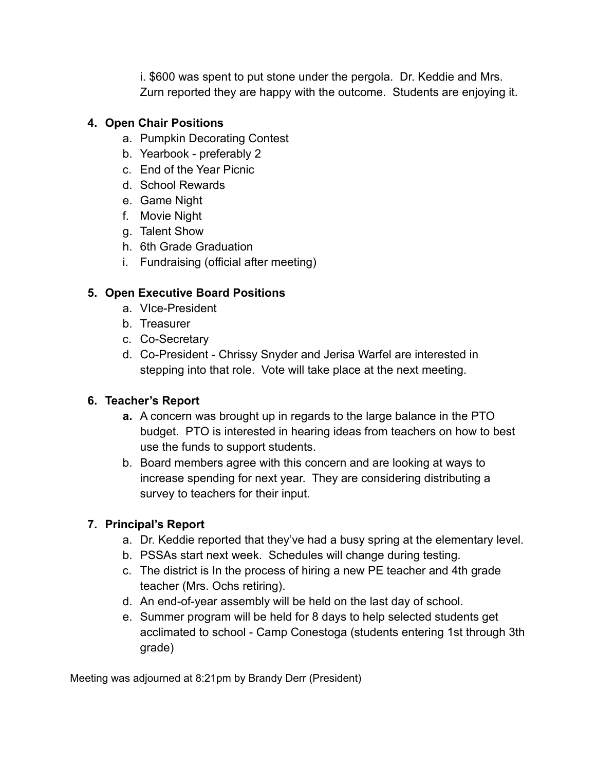i. \$600 was spent to put stone under the pergola. Dr. Keddie and Mrs. Zurn reported they are happy with the outcome. Students are enjoying it.

#### **4. Open Chair Positions**

- a. Pumpkin Decorating Contest
- b. Yearbook preferably 2
- c. End of the Year Picnic
- d. School Rewards
- e. Game Night
- f. Movie Night
- g. Talent Show
- h. 6th Grade Graduation
- i. Fundraising (official after meeting)

## **5. Open Executive Board Positions**

- a. VIce-President
- b. Treasurer
- c. Co-Secretary
- d. Co-President Chrissy Snyder and Jerisa Warfel are interested in stepping into that role. Vote will take place at the next meeting.

### **6. Teacher's Report**

- **a.** A concern was brought up in regards to the large balance in the PTO budget. PTO is interested in hearing ideas from teachers on how to best use the funds to support students.
- b. Board members agree with this concern and are looking at ways to increase spending for next year. They are considering distributing a survey to teachers for their input.

## **7. Principal's Report**

- a. Dr. Keddie reported that they've had a busy spring at the elementary level.
- b. PSSAs start next week. Schedules will change during testing.
- c. The district is In the process of hiring a new PE teacher and 4th grade teacher (Mrs. Ochs retiring).
- d. An end-of-year assembly will be held on the last day of school.
- e. Summer program will be held for 8 days to help selected students get acclimated to school - Camp Conestoga (students entering 1st through 3th grade)

Meeting was adjourned at 8:21pm by Brandy Derr (President)